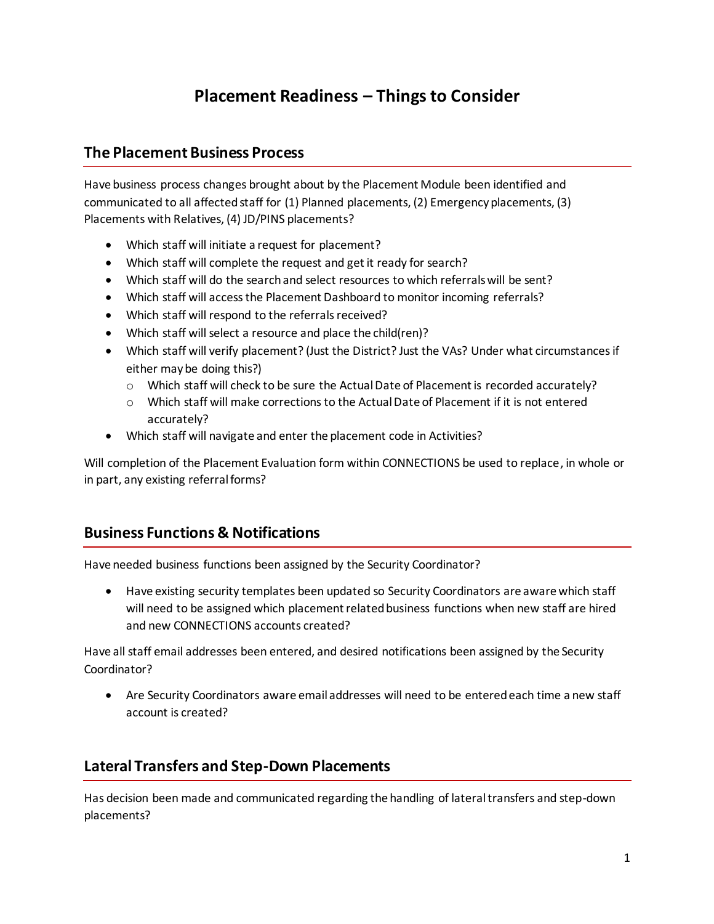# **Placement Readiness – Things to Consider**

#### **The Placement Business Process**

Have business process changes brought about by the Placement Module been identified and communicated to all affected staff for (1) Planned placements, (2) Emergency placements, (3) Placements with Relatives, (4) JD/PINS placements?

- Which staff will initiate a request for placement?
- Which staff will complete the request and get it ready for search?
- Which staff will do the search and select resources to which referrals will be sent?
- Which staff will access the Placement Dashboard to monitor incoming referrals?
- Which staff will respond to the referrals received?
- Which staff will select a resource and place the child(ren)?
- Which staff will verify placement? (Just the District? Just the VAs? Under what circumstances if either may be doing this?)
	- o Which staff will check to be sure the Actual Date of Placement is recorded accurately?
	- o Which staff will make corrections to the Actual Date of Placement if it is not entered accurately?
- Which staff will navigate and enter the placement code in Activities?

Will completion of the Placement Evaluation form within CONNECTIONS be used to replace, in whole or in part, any existing referral forms?

#### **Business Functions & Notifications**

Have needed business functions been assigned by the Security Coordinator?

 Have existing security templates been updated so Security Coordinators are aware which staff will need to be assigned which placement related business functions when new staff are hired and new CONNECTIONS accounts created?

Have all staff email addresses been entered, and desired notifications been assigned by the Security Coordinator?

 Are Security Coordinators aware email addresses will need to be entered each time a new staff account is created?

### **Lateral Transfers and Step-Down Placements**

Has decision been made and communicated regarding the handling of lateral transfers and step-down placements?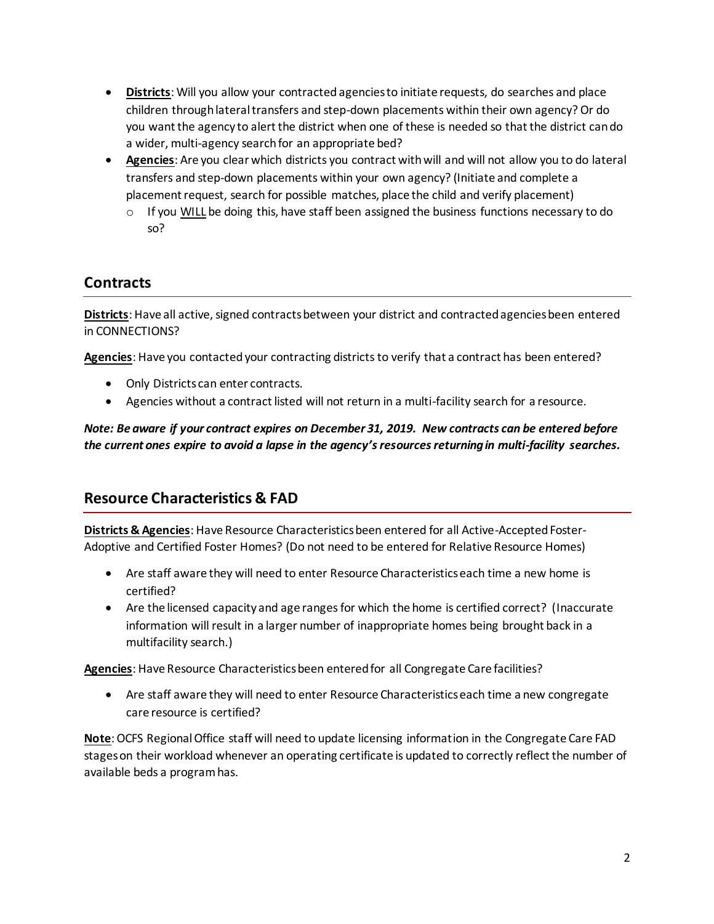- **Districts**: Will you allow your contracted agencies to initiate requests, do searches and place children through lateral transfers and step-down placements within their own agency? Or do you want the agency to alert the district when one of these is needed so that the district can do a wider, multi-agency search for an appropriate bed?
- **Agencies**: Are you clear which districts you contract with will and will not allow you to do lateral transfers and step-down placements within your own agency? (Initiate and complete a placement request, search for possible matches, place the child and verify placement)
	- $\circ$  If you WILL be doing this, have staff been assigned the business functions necessary to do so?

## **Contracts**

**Districts**: Have all active, signed contracts between your district and contracted agencies been entered in CONNECTIONS?

**Agencies**: Have you contacted your contracting districts to verify that a contract has been entered?

- Only Districts can enter contracts.
- Agencies without a contract listed will not return in a multi-facility search for a resource.

*Note: Be aware if your contract expires on December 31, 2019. New contracts can be entered before the current ones expire to avoid a lapse in the agency's resources returning in multi-facility searches.*

### **Resource Characteristics & FAD**

**Districts & Agencies**: Have Resource Characteristics been entered for all Active-Accepted Foster-Adoptive and Certified Foster Homes? (Do not need to be entered for Relative Resource Homes)

- Are staff aware they will need to enter Resource Characteristics each time a new home is certified?
- Are the licensed capacity and age ranges for which the home is certified correct? (Inaccurate information will result in a larger number of inappropriate homes being brought back in a multifacility search.)

**Agencies**: Have Resource Characteristics been entered for all Congregate Care facilities?

 Are staff aware they will need to enter Resource Characteristics each time a new congregate care resource is certified?

**Note**: OCFS Regional Office staff will need to update licensing information in the Congregate Care FAD stageson their workload whenever an operating certificate is updated to correctly reflect the number of available beds a program has.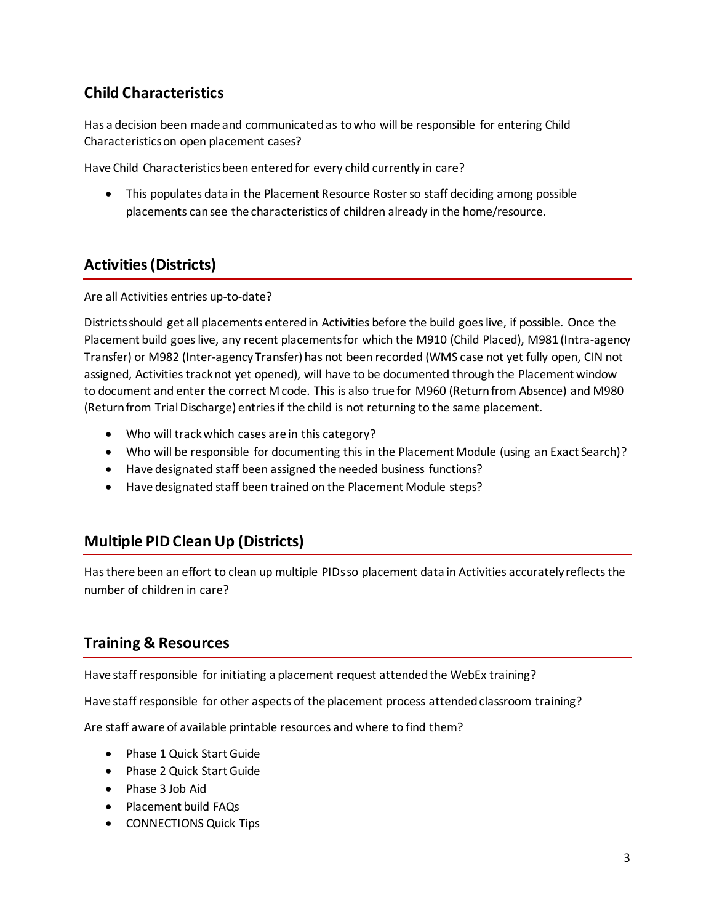## **Child Characteristics**

Has a decision been made and communicated as to who will be responsible for entering Child Characteristics on open placement cases?

Have Child Characteristics been entered for every child currently in care?

 This populates data in the Placement Resource Roster so staff deciding among possible placements can see the characteristics of children already in the home/resource.

## **Activities (Districts)**

Are all Activities entries up-to-date?

Districts should get all placements entered in Activities before the build goes live, if possible. Once the Placement build goes live, any recent placements for which the M910 (Child Placed), M981 (Intra-agency Transfer) or M982 (Inter-agency Transfer) has not been recorded (WMS case not yet fully open, CIN not assigned, Activities track not yet opened), will have to be documented through the Placement window to document and enter the correct M code. This is also true for M960 (Return from Absence) and M980 (Return from Trial Discharge) entries if the child is not returning to the same placement.

- Who will track which cases are in this category?
- Who will be responsible for documenting this in the Placement Module (using an Exact Search)?
- Have designated staff been assigned the needed business functions?
- Have designated staff been trained on the Placement Module steps?

### **Multiple PID Clean Up (Districts)**

Has there been an effort to clean up multiple PIDs so placement data in Activities accurately reflects the number of children in care?

### **Training & Resources**

Have staff responsible for initiating a placement request attended the WebEx training?

Have staff responsible for other aspects of the placement process attended classroom training?

Are staff aware of available printable resources and where to find them?

- Phase 1 Quick Start Guide
- Phase 2 Quick Start Guide
- Phase 3 Job Aid
- Placement build FAQs
- CONNECTIONS Quick Tips